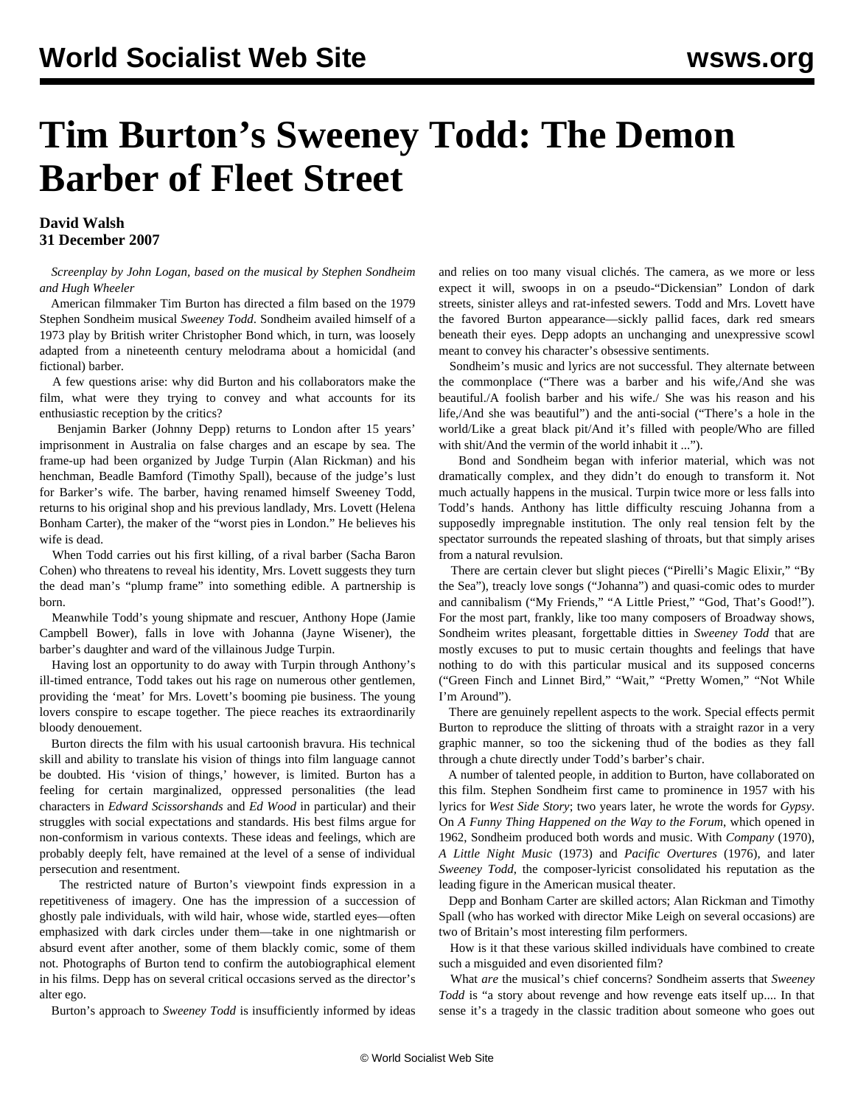## **Tim Burton's Sweeney Todd: The Demon Barber of Fleet Street**

## **David Walsh 31 December 2007**

## *Screenplay by John Logan, based on the musical by Stephen Sondheim and Hugh Wheeler*

 American filmmaker Tim Burton has directed a film based on the 1979 Stephen Sondheim musical *Sweeney Todd*. Sondheim availed himself of a 1973 play by British writer Christopher Bond which, in turn, was loosely adapted from a nineteenth century melodrama about a homicidal (and fictional) barber.

 A few questions arise: why did Burton and his collaborators make the film, what were they trying to convey and what accounts for its enthusiastic reception by the critics?

 Benjamin Barker (Johnny Depp) returns to London after 15 years' imprisonment in Australia on false charges and an escape by sea. The frame-up had been organized by Judge Turpin (Alan Rickman) and his henchman, Beadle Bamford (Timothy Spall), because of the judge's lust for Barker's wife. The barber, having renamed himself Sweeney Todd, returns to his original shop and his previous landlady, Mrs. Lovett (Helena Bonham Carter), the maker of the "worst pies in London." He believes his wife is dead.

 When Todd carries out his first killing, of a rival barber (Sacha Baron Cohen) who threatens to reveal his identity, Mrs. Lovett suggests they turn the dead man's "plump frame" into something edible. A partnership is born.

 Meanwhile Todd's young shipmate and rescuer, Anthony Hope (Jamie Campbell Bower), falls in love with Johanna (Jayne Wisener), the barber's daughter and ward of the villainous Judge Turpin.

 Having lost an opportunity to do away with Turpin through Anthony's ill-timed entrance, Todd takes out his rage on numerous other gentlemen, providing the 'meat' for Mrs. Lovett's booming pie business. The young lovers conspire to escape together. The piece reaches its extraordinarily bloody denouement.

 Burton directs the film with his usual cartoonish bravura. His technical skill and ability to translate his vision of things into film language cannot be doubted. His 'vision of things,' however, is limited. Burton has a feeling for certain marginalized, oppressed personalities (the lead characters in *Edward Scissorshands* and *Ed Wood* in particular) and their struggles with social expectations and standards. His best films argue for non-conformism in various contexts. These ideas and feelings, which are probably deeply felt, have remained at the level of a sense of individual persecution and resentment.

 The restricted nature of Burton's viewpoint finds expression in a repetitiveness of imagery. One has the impression of a succession of ghostly pale individuals, with wild hair, whose wide, startled eyes—often emphasized with dark circles under them—take in one nightmarish or absurd event after another, some of them blackly comic, some of them not. Photographs of Burton tend to confirm the autobiographical element in his films. Depp has on several critical occasions served as the director's alter ego.

Burton's approach to *Sweeney Todd* is insufficiently informed by ideas

and relies on too many visual clichés. The camera, as we more or less expect it will, swoops in on a pseudo-"Dickensian" London of dark streets, sinister alleys and rat-infested sewers. Todd and Mrs. Lovett have the favored Burton appearance—sickly pallid faces, dark red smears beneath their eyes. Depp adopts an unchanging and unexpressive scowl meant to convey his character's obsessive sentiments.

 Sondheim's music and lyrics are not successful. They alternate between the commonplace ("There was a barber and his wife,/And she was beautiful./A foolish barber and his wife./ She was his reason and his life,/And she was beautiful") and the anti-social ("There's a hole in the world/Like a great black pit/And it's filled with people/Who are filled with shit/And the vermin of the world inhabit it ...").

 Bond and Sondheim began with inferior material, which was not dramatically complex, and they didn't do enough to transform it. Not much actually happens in the musical. Turpin twice more or less falls into Todd's hands. Anthony has little difficulty rescuing Johanna from a supposedly impregnable institution. The only real tension felt by the spectator surrounds the repeated slashing of throats, but that simply arises from a natural revulsion.

 There are certain clever but slight pieces ("Pirelli's Magic Elixir," "By the Sea"), treacly love songs ("Johanna") and quasi-comic odes to murder and cannibalism ("My Friends," "A Little Priest," "God, That's Good!"). For the most part, frankly, like too many composers of Broadway shows, Sondheim writes pleasant, forgettable ditties in *Sweeney Todd* that are mostly excuses to put to music certain thoughts and feelings that have nothing to do with this particular musical and its supposed concerns ("Green Finch and Linnet Bird," "Wait," "Pretty Women," "Not While I'm Around").

 There are genuinely repellent aspects to the work. Special effects permit Burton to reproduce the slitting of throats with a straight razor in a very graphic manner, so too the sickening thud of the bodies as they fall through a chute directly under Todd's barber's chair.

 A number of talented people, in addition to Burton, have collaborated on this film. Stephen Sondheim first came to prominence in 1957 with his lyrics for *West Side Story*; two years later, he wrote the words for *Gypsy*. On *A Funny Thing Happened on the Way to the Forum*, which opened in 1962, Sondheim produced both words and music. With *Company* (1970), *A Little Night Music* (1973) and *Pacific Overtures* (1976), and later *Sweeney Todd*, the composer-lyricist consolidated his reputation as the leading figure in the American musical theater.

 Depp and Bonham Carter are skilled actors; Alan Rickman and Timothy Spall (who has worked with director Mike Leigh on several occasions) are two of Britain's most interesting film performers.

 How is it that these various skilled individuals have combined to create such a misguided and even disoriented film?

 What *are* the musical's chief concerns? Sondheim asserts that *Sweeney Todd* is "a story about revenge and how revenge eats itself up.... In that sense it's a tragedy in the classic tradition about someone who goes out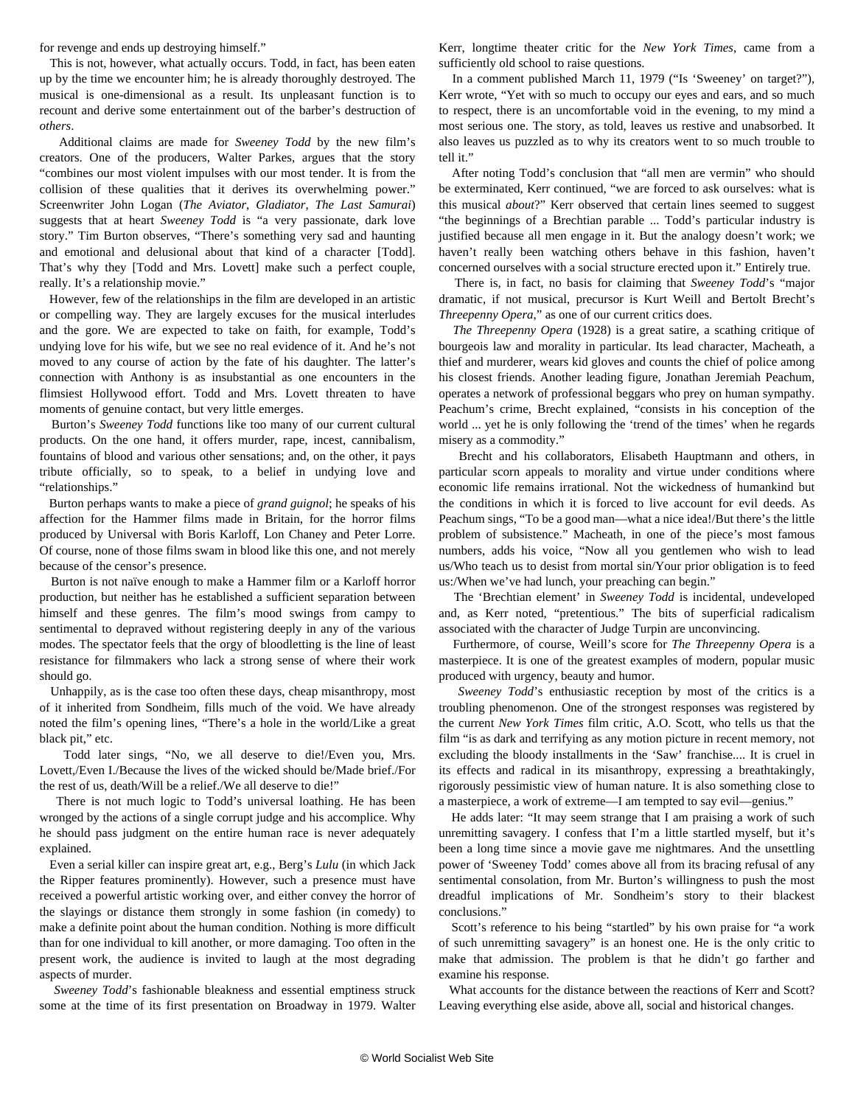for revenge and ends up destroying himself."

 This is not, however, what actually occurs. Todd, in fact, has been eaten up by the time we encounter him; he is already thoroughly destroyed. The musical is one-dimensional as a result. Its unpleasant function is to recount and derive some entertainment out of the barber's destruction of *others*.

 Additional claims are made for *Sweeney Todd* by the new film's creators. One of the producers, Walter Parkes, argues that the story "combines our most violent impulses with our most tender. It is from the collision of these qualities that it derives its overwhelming power." Screenwriter John Logan (*The Aviator*, *Gladiator*, *The Last Samurai*) suggests that at heart *Sweeney Todd* is "a very passionate, dark love story." Tim Burton observes, "There's something very sad and haunting and emotional and delusional about that kind of a character [Todd]. That's why they [Todd and Mrs. Lovett] make such a perfect couple, really. It's a relationship movie."

 However, few of the relationships in the film are developed in an artistic or compelling way. They are largely excuses for the musical interludes and the gore. We are expected to take on faith, for example, Todd's undying love for his wife, but we see no real evidence of it. And he's not moved to any course of action by the fate of his daughter. The latter's connection with Anthony is as insubstantial as one encounters in the flimsiest Hollywood effort. Todd and Mrs. Lovett threaten to have moments of genuine contact, but very little emerges.

 Burton's *Sweeney Todd* functions like too many of our current cultural products. On the one hand, it offers murder, rape, incest, cannibalism, fountains of blood and various other sensations; and, on the other, it pays tribute officially, so to speak, to a belief in undying love and "relationships."

 Burton perhaps wants to make a piece of *grand guignol*; he speaks of his affection for the Hammer films made in Britain, for the horror films produced by Universal with Boris Karloff, Lon Chaney and Peter Lorre. Of course, none of those films swam in blood like this one, and not merely because of the censor's presence.

 Burton is not naïve enough to make a Hammer film or a Karloff horror production, but neither has he established a sufficient separation between himself and these genres. The film's mood swings from campy to sentimental to depraved without registering deeply in any of the various modes. The spectator feels that the orgy of bloodletting is the line of least resistance for filmmakers who lack a strong sense of where their work should go.

 Unhappily, as is the case too often these days, cheap misanthropy, most of it inherited from Sondheim, fills much of the void. We have already noted the film's opening lines, "There's a hole in the world/Like a great black pit," etc.

 Todd later sings, "No, we all deserve to die!/Even you, Mrs. Lovett,/Even I./Because the lives of the wicked should be/Made brief./For the rest of us, death/Will be a relief./We all deserve to die!"

 There is not much logic to Todd's universal loathing. He has been wronged by the actions of a single corrupt judge and his accomplice. Why he should pass judgment on the entire human race is never adequately explained.

 Even a serial killer can inspire great art, e.g., Berg's *Lulu* (in which Jack the Ripper features prominently). However, such a presence must have received a powerful artistic working over, and either convey the horror of the slayings or distance them strongly in some fashion (in comedy) to make a definite point about the human condition. Nothing is more difficult than for one individual to kill another, or more damaging. Too often in the present work, the audience is invited to laugh at the most degrading aspects of murder.

 *Sweeney Todd*'s fashionable bleakness and essential emptiness struck some at the time of its first presentation on Broadway in 1979. Walter Kerr, longtime theater critic for the *New York Times*, came from a sufficiently old school to raise questions.

 In a comment published March 11, 1979 ("Is 'Sweeney' on target?"), Kerr wrote, "Yet with so much to occupy our eyes and ears, and so much to respect, there is an uncomfortable void in the evening, to my mind a most serious one. The story, as told, leaves us restive and unabsorbed. It also leaves us puzzled as to why its creators went to so much trouble to tell it."

 After noting Todd's conclusion that "all men are vermin" who should be exterminated, Kerr continued, "we are forced to ask ourselves: what is this musical *about*?" Kerr observed that certain lines seemed to suggest "the beginnings of a Brechtian parable ... Todd's particular industry is justified because all men engage in it. But the analogy doesn't work; we haven't really been watching others behave in this fashion, haven't concerned ourselves with a social structure erected upon it." Entirely true.

 There is, in fact, no basis for claiming that *Sweeney Todd*'s "major dramatic, if not musical, precursor is Kurt Weill and Bertolt Brecht's *Threepenny Opera*," as one of our current critics does.

 *The Threepenny Opera* (1928) is a great satire, a scathing critique of bourgeois law and morality in particular. Its lead character, Macheath, a thief and murderer, wears kid gloves and counts the chief of police among his closest friends. Another leading figure, Jonathan Jeremiah Peachum, operates a network of professional beggars who prey on human sympathy. Peachum's crime, Brecht explained, "consists in his conception of the world ... yet he is only following the 'trend of the times' when he regards misery as a commodity."

 Brecht and his collaborators, Elisabeth Hauptmann and others, in particular scorn appeals to morality and virtue under conditions where economic life remains irrational. Not the wickedness of humankind but the conditions in which it is forced to live account for evil deeds. As Peachum sings, "To be a good man—what a nice idea!/But there's the little problem of subsistence." Macheath, in one of the piece's most famous numbers, adds his voice, "Now all you gentlemen who wish to lead us/Who teach us to desist from mortal sin/Your prior obligation is to feed us:/When we've had lunch, your preaching can begin."

 The 'Brechtian element' in *Sweeney Todd* is incidental, undeveloped and, as Kerr noted, "pretentious." The bits of superficial radicalism associated with the character of Judge Turpin are unconvincing.

 Furthermore, of course, Weill's score for *The Threepenny Opera* is a masterpiece. It is one of the greatest examples of modern, popular music produced with urgency, beauty and humor.

 *Sweeney Todd*'s enthusiastic reception by most of the critics is a troubling phenomenon. One of the strongest responses was registered by the current *New York Times* film critic, A.O. Scott, who tells us that the film "is as dark and terrifying as any motion picture in recent memory, not excluding the bloody installments in the 'Saw' franchise.... It is cruel in its effects and radical in its misanthropy, expressing a breathtakingly, rigorously pessimistic view of human nature. It is also something close to a masterpiece, a work of extreme—I am tempted to say evil—genius."

 He adds later: "It may seem strange that I am praising a work of such unremitting savagery. I confess that I'm a little startled myself, but it's been a long time since a movie gave me nightmares. And the unsettling power of 'Sweeney Todd' comes above all from its bracing refusal of any sentimental consolation, from Mr. Burton's willingness to push the most dreadful implications of Mr. Sondheim's story to their blackest conclusions."

 Scott's reference to his being "startled" by his own praise for "a work of such unremitting savagery" is an honest one. He is the only critic to make that admission. The problem is that he didn't go farther and examine his response.

 What accounts for the distance between the reactions of Kerr and Scott? Leaving everything else aside, above all, social and historical changes.